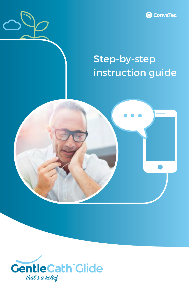

## Step-by-step instruction guide



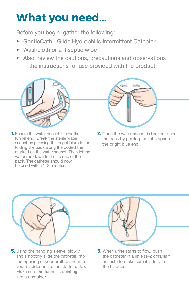# **What you need…**

Before you begin, gather the following:

- GentleCath™ Glide Hydrophilic Intermittent Catheter
- Washcloth or antiseptic wipe
- Also, review the cautions, precautions and observations in the instructions for use provided with the product



**1.** Ensure the water sachet is near the funnel end. Break the sterile water sachet by pressing the bright blue dot or folding the pack along the dotted line marked on the water sachet. Then let the water run down to the tip end of the pack. The catheter should now be used within 1–2 minutes.



**2.** Once the water sachet is broken, open the pack by peeling the tabs apart at the bright blue end.



**5.** Using the handling sleeve, slowly and smoothly slide the catheter into the opening of your urethra and into your bladder until urine starts to flow. Make sure the funnel is pointing into a container.



**6.** When urine starts to flow, push the catheter in a little (1–2 cms/half an inch) to make sure it is fully in the bladder.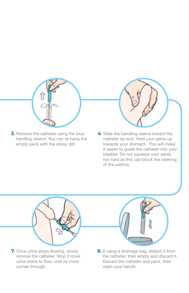

**3.** Remove the catheter using the blue handling sleeve. You can re-hang the empty pack with the sticky dot.



**4.** Slide the handling sleeve toward the catheter tip end. Hold your penis up towards your stomach. This will make it easier to guide the catheter into your bladder. Do not squeeze your penis too hard as this can block the opening of the urethra.



**7.** Once urine stops flowing, slowly remove the catheter. Stop if more urine starts to flow, until no more comes through.



**8.** If using a drainage bag, detach it from the catheter, then empty and discard it. Discard the catheter and pack, then wash your hands.